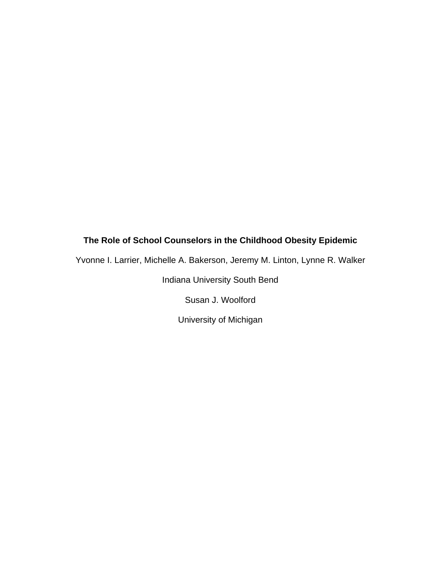# **The Role of School Counselors in the Childhood Obesity Epidemic**

Yvonne I. Larrier, Michelle A. Bakerson, Jeremy M. Linton, Lynne R. Walker

Indiana University South Bend

Susan J. Woolford

University of Michigan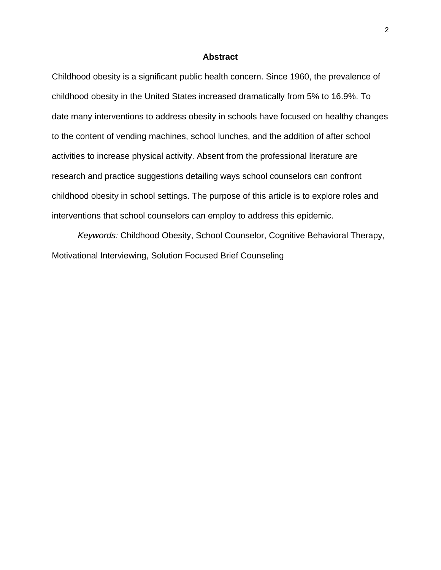# **Abstract**

Childhood obesity is a significant public health concern. Since 1960, the prevalence of childhood obesity in the United States increased dramatically from 5% to 16.9%. To date many interventions to address obesity in schools have focused on healthy changes to the content of vending machines, school lunches, and the addition of after school activities to increase physical activity. Absent from the professional literature are research and practice suggestions detailing ways school counselors can confront childhood obesity in school settings. The purpose of this article is to explore roles and interventions that school counselors can employ to address this epidemic.

*Keywords:* Childhood Obesity, School Counselor, Cognitive Behavioral Therapy, Motivational Interviewing, Solution Focused Brief Counseling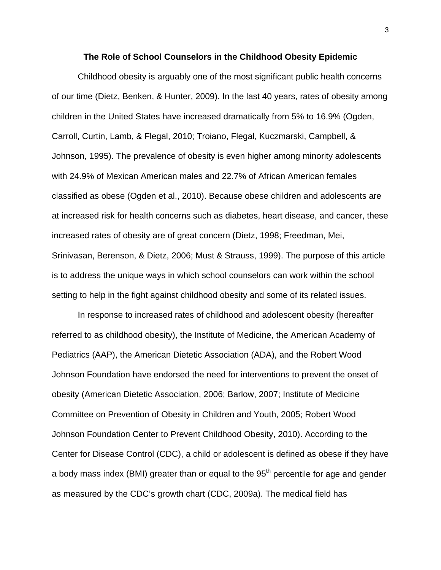#### **The Role of School Counselors in the Childhood Obesity Epidemic**

Childhood obesity is arguably one of the most significant public health concerns of our time (Dietz, Benken, & Hunter, 2009). In the last 40 years, rates of obesity among children in the United States have increased dramatically from 5% to 16.9% (Ogden, Carroll, Curtin, Lamb, & Flegal, 2010; Troiano, Flegal, Kuczmarski, Campbell, & Johnson, 1995). The prevalence of obesity is even higher among minority adolescents with 24.9% of Mexican American males and 22.7% of African American females classified as obese (Ogden et al., 2010). Because obese children and adolescents are at increased risk for health concerns such as diabetes, heart disease, and cancer, these increased rates of obesity are of great concern (Dietz, 1998; Freedman, Mei, Srinivasan, Berenson, & Dietz, 2006; Must & Strauss, 1999). The purpose of this article is to address the unique ways in which school counselors can work within the school setting to help in the fight against childhood obesity and some of its related issues.

In response to increased rates of childhood and adolescent obesity (hereafter referred to as childhood obesity), the Institute of Medicine, the American Academy of Pediatrics (AAP), the American Dietetic Association (ADA), and the Robert Wood Johnson Foundation have endorsed the need for interventions to prevent the onset of obesity (American Dietetic Association, 2006; Barlow, 2007; Institute of Medicine Committee on Prevention of Obesity in Children and Youth, 2005; Robert Wood Johnson Foundation Center to Prevent Childhood Obesity, 2010). According to the Center for Disease Control (CDC), a child or adolescent is defined as obese if they have a body mass index (BMI) greater than or equal to the  $95<sup>th</sup>$  percentile for age and gender as measured by the CDC's growth chart (CDC, 2009a). The medical field has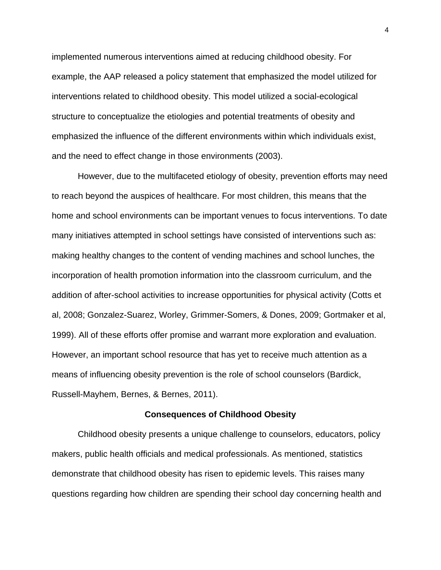implemented numerous interventions aimed at reducing childhood obesity. For example, the AAP released a policy statement that emphasized the model utilized for interventions related to childhood obesity. This model utilized a social-ecological structure to conceptualize the etiologies and potential treatments of obesity and emphasized the influence of the different environments within which individuals exist, and the need to effect change in those environments (2003).

However, due to the multifaceted etiology of obesity, prevention efforts may need to reach beyond the auspices of healthcare. For most children, this means that the home and school environments can be important venues to focus interventions. To date many initiatives attempted in school settings have consisted of interventions such as: making healthy changes to the content of vending machines and school lunches, the incorporation of health promotion information into the classroom curriculum, and the addition of after-school activities to increase opportunities for physical activity (Cotts et al, 2008; Gonzalez-Suarez, Worley, Grimmer-Somers, & Dones, 2009; Gortmaker et al, 1999). All of these efforts offer promise and warrant more exploration and evaluation. However, an important school resource that has yet to receive much attention as a means of influencing obesity prevention is the role of school counselors (Bardick, Russell-Mayhem, Bernes, & Bernes, 2011).

#### **Consequences of Childhood Obesity**

Childhood obesity presents a unique challenge to counselors, educators, policy makers, public health officials and medical professionals. As mentioned, statistics demonstrate that childhood obesity has risen to epidemic levels. This raises many questions regarding how children are spending their school day concerning health and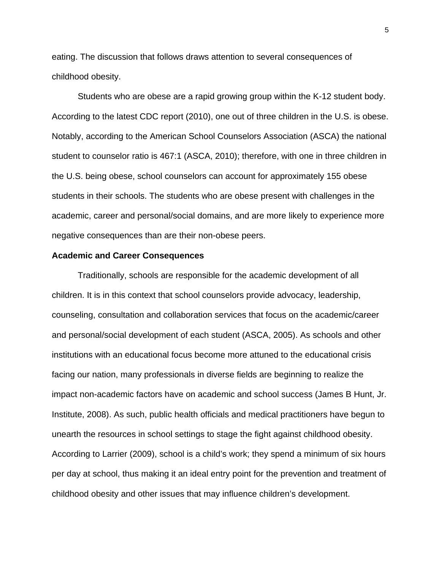eating. The discussion that follows draws attention to several consequences of childhood obesity.

Students who are obese are a rapid growing group within the K-12 student body. According to the latest CDC report (2010), one out of three children in the U.S. is obese. Notably, according to the American School Counselors Association (ASCA) the national student to counselor ratio is 467:1 (ASCA, 2010); therefore, with one in three children in the U.S. being obese, school counselors can account for approximately 155 obese students in their schools. The students who are obese present with challenges in the academic, career and personal/social domains, and are more likely to experience more negative consequences than are their non-obese peers.

#### **Academic and Career Consequences**

Traditionally, schools are responsible for the academic development of all children. It is in this context that school counselors provide advocacy, leadership, counseling, consultation and collaboration services that focus on the academic/career and personal/social development of each student (ASCA, 2005). As schools and other institutions with an educational focus become more attuned to the educational crisis facing our nation, many professionals in diverse fields are beginning to realize the impact non-academic factors have on academic and school success (James B Hunt, Jr. Institute, 2008). As such, public health officials and medical practitioners have begun to unearth the resources in school settings to stage the fight against childhood obesity. According to Larrier (2009), school is a child's work; they spend a minimum of six hours per day at school, thus making it an ideal entry point for the prevention and treatment of childhood obesity and other issues that may influence children's development.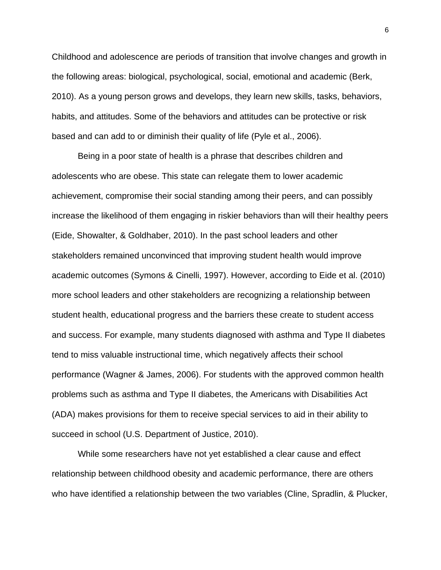Childhood and adolescence are periods of transition that involve changes and growth in the following areas: biological, psychological, social, emotional and academic (Berk, 2010). As a young person grows and develops, they learn new skills, tasks, behaviors, habits, and attitudes. Some of the behaviors and attitudes can be protective or risk based and can add to or diminish their quality of life (Pyle et al., 2006).

Being in a poor state of health is a phrase that describes children and adolescents who are obese. This state can relegate them to lower academic achievement, compromise their social standing among their peers, and can possibly increase the likelihood of them engaging in riskier behaviors than will their healthy peers (Eide, Showalter, & Goldhaber, 2010). In the past school leaders and other stakeholders remained unconvinced that improving student health would improve academic outcomes (Symons & Cinelli, 1997). However, according to Eide et al. (2010) more school leaders and other stakeholders are recognizing a relationship between student health, educational progress and the barriers these create to student access and success. For example, many students diagnosed with asthma and Type II diabetes tend to miss valuable instructional time, which negatively affects their school performance (Wagner & James, 2006). For students with the approved common health problems such as asthma and Type II diabetes, the Americans with Disabilities Act (ADA) makes provisions for them to receive special services to aid in their ability to succeed in school (U.S. Department of Justice, 2010).

While some researchers have not yet established a clear cause and effect relationship between childhood obesity and academic performance, there are others who have identified a relationship between the two variables (Cline, Spradlin, & Plucker,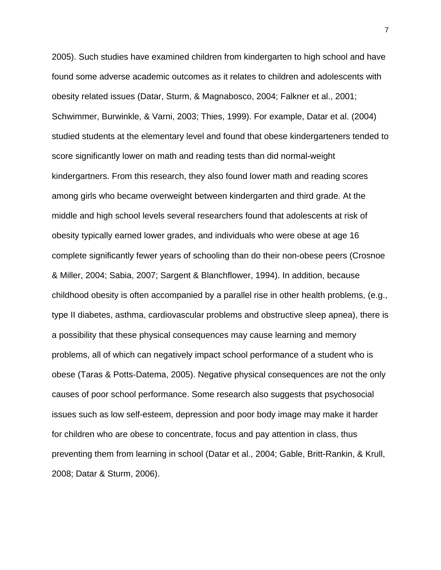2005). Such studies have examined children from kindergarten to high school and have found some adverse academic outcomes as it relates to children and adolescents with obesity related issues (Datar, Sturm, & Magnabosco, 2004; Falkner et al., 2001; Schwimmer, Burwinkle, & Varni, 2003; Thies, 1999). For example, Datar et al. (2004) studied students at the elementary level and found that obese kindergarteners tended to score significantly lower on math and reading tests than did normal-weight kindergartners. From this research, they also found lower math and reading scores among girls who became overweight between kindergarten and third grade. At the middle and high school levels several researchers found that adolescents at risk of obesity typically earned lower grades, and individuals who were obese at age 16 complete significantly fewer years of schooling than do their non-obese peers (Crosnoe & Miller, 2004; Sabia, 2007; Sargent & Blanchflower, 1994). In addition, because childhood obesity is often accompanied by a parallel rise in other health problems, (e.g., type II diabetes, asthma, cardiovascular problems and obstructive sleep apnea), there is a possibility that these physical consequences may cause learning and memory problems, all of which can negatively impact school performance of a student who is obese (Taras & Potts-Datema, 2005). Negative physical consequences are not the only causes of poor school performance. Some research also suggests that psychosocial issues such as low self-esteem, depression and poor body image may make it harder for children who are obese to concentrate, focus and pay attention in class, thus preventing them from learning in school (Datar et al., 2004; Gable, Britt-Rankin, & Krull, 2008; Datar & Sturm, 2006).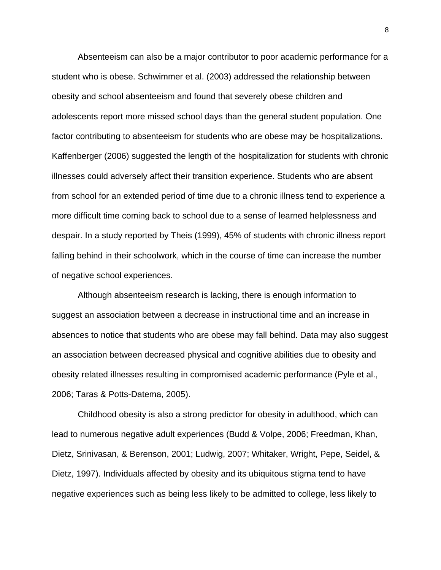Absenteeism can also be a major contributor to poor academic performance for a student who is obese. Schwimmer et al. (2003) addressed the relationship between obesity and school absenteeism and found that severely obese children and adolescents report more missed school days than the general student population. One factor contributing to absenteeism for students who are obese may be hospitalizations. Kaffenberger (2006) suggested the length of the hospitalization for students with chronic illnesses could adversely affect their transition experience. Students who are absent from school for an extended period of time due to a chronic illness tend to experience a more difficult time coming back to school due to a sense of learned helplessness and despair. In a study reported by Theis (1999), 45% of students with chronic illness report falling behind in their schoolwork, which in the course of time can increase the number of negative school experiences.

Although absenteeism research is lacking, there is enough information to suggest an association between a decrease in instructional time and an increase in absences to notice that students who are obese may fall behind. Data may also suggest an association between decreased physical and cognitive abilities due to obesity and obesity related illnesses resulting in compromised academic performance (Pyle et al., 2006; Taras & Potts-Datema, 2005).

Childhood obesity is also a strong predictor for obesity in adulthood, which can lead to numerous negative adult experiences (Budd & Volpe, 2006; Freedman, Khan, Dietz, Srinivasan, & Berenson, 2001; Ludwig, 2007; Whitaker, Wright, Pepe, Seidel, & Dietz, 1997). Individuals affected by obesity and its ubiquitous stigma tend to have negative experiences such as being less likely to be admitted to college, less likely to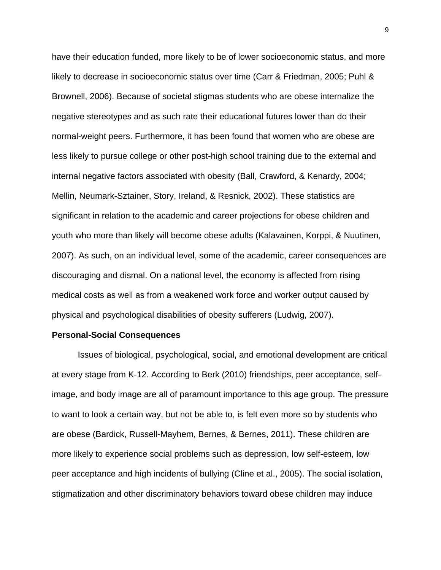have their education funded, more likely to be of lower socioeconomic status, and more likely to decrease in socioeconomic status over time (Carr & Friedman, 2005; Puhl & Brownell, 2006). Because of societal stigmas students who are obese internalize the negative stereotypes and as such rate their educational futures lower than do their normal-weight peers. Furthermore, it has been found that women who are obese are less likely to pursue college or other post-high school training due to the external and internal negative factors associated with obesity (Ball, Crawford, & Kenardy, 2004; Mellin, Neumark-Sztainer, Story, Ireland, & Resnick, 2002). These statistics are significant in relation to the academic and career projections for obese children and youth who more than likely will become obese adults (Kalavainen, Korppi, & Nuutinen, 2007). As such, on an individual level, some of the academic, career consequences are discouraging and dismal. On a national level, the economy is affected from rising medical costs as well as from a weakened work force and worker output caused by physical and psychological disabilities of obesity sufferers (Ludwig, 2007).

#### **Personal-Social Consequences**

Issues of biological, psychological, social, and emotional development are critical at every stage from K-12. According to Berk (2010) friendships, peer acceptance, selfimage, and body image are all of paramount importance to this age group. The pressure to want to look a certain way, but not be able to, is felt even more so by students who are obese (Bardick, Russell-Mayhem, Bernes, & Bernes, 2011). These children are more likely to experience social problems such as depression, low self-esteem, low peer acceptance and high incidents of bullying (Cline et al., 2005). The social isolation, stigmatization and other discriminatory behaviors toward obese children may induce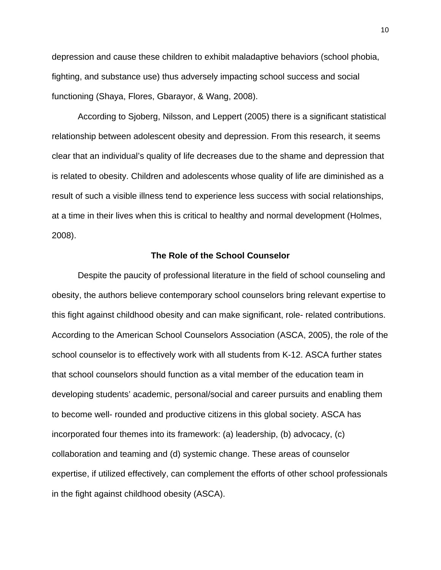depression and cause these children to exhibit maladaptive behaviors (school phobia, fighting, and substance use) thus adversely impacting school success and social functioning (Shaya, Flores, Gbarayor, & Wang, 2008).

According to Sjoberg, Nilsson, and Leppert (2005) there is a significant statistical relationship between adolescent obesity and depression. From this research, it seems clear that an individual's quality of life decreases due to the shame and depression that is related to obesity. Children and adolescents whose quality of life are diminished as a result of such a visible illness tend to experience less success with social relationships, at a time in their lives when this is critical to healthy and normal development (Holmes, 2008).

# **The Role of the School Counselor**

Despite the paucity of professional literature in the field of school counseling and obesity, the authors believe contemporary school counselors bring relevant expertise to this fight against childhood obesity and can make significant, role- related contributions. According to the American School Counselors Association (ASCA, 2005), the role of the school counselor is to effectively work with all students from K-12. ASCA further states that school counselors should function as a vital member of the education team in developing students' academic, personal/social and career pursuits and enabling them to become well- rounded and productive citizens in this global society. ASCA has incorporated four themes into its framework: (a) leadership, (b) advocacy, (c) collaboration and teaming and (d) systemic change. These areas of counselor expertise, if utilized effectively, can complement the efforts of other school professionals in the fight against childhood obesity (ASCA).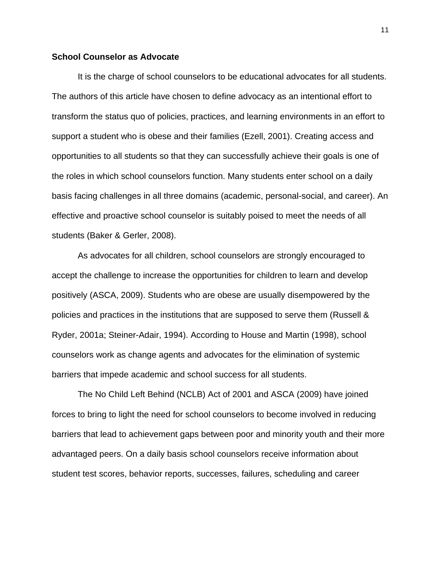### **School Counselor as Advocate**

It is the charge of school counselors to be educational advocates for all students. The authors of this article have chosen to define advocacy as an intentional effort to transform the status quo of policies, practices, and learning environments in an effort to support a student who is obese and their families (Ezell, 2001). Creating access and opportunities to all students so that they can successfully achieve their goals is one of the roles in which school counselors function. Many students enter school on a daily basis facing challenges in all three domains (academic, personal-social, and career). An effective and proactive school counselor is suitably poised to meet the needs of all students (Baker & Gerler, 2008).

As advocates for all children, school counselors are strongly encouraged to accept the challenge to increase the opportunities for children to learn and develop positively (ASCA, 2009). Students who are obese are usually disempowered by the policies and practices in the institutions that are supposed to serve them (Russell & Ryder, 2001a; Steiner-Adair, 1994). According to House and Martin (1998), school counselors work as change agents and advocates for the elimination of systemic barriers that impede academic and school success for all students.

The No Child Left Behind (NCLB) Act of 2001 and ASCA (2009) have joined forces to bring to light the need for school counselors to become involved in reducing barriers that lead to achievement gaps between poor and minority youth and their more advantaged peers. On a daily basis school counselors receive information about student test scores, behavior reports, successes, failures, scheduling and career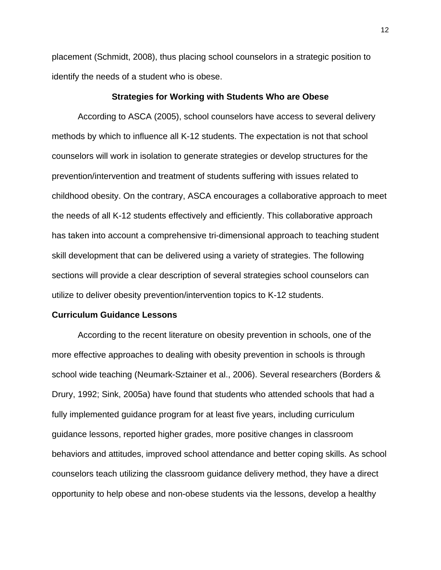placement (Schmidt, 2008), thus placing school counselors in a strategic position to identify the needs of a student who is obese.

### **Strategies for Working with Students Who are Obese**

According to ASCA (2005), school counselors have access to several delivery methods by which to influence all K-12 students. The expectation is not that school counselors will work in isolation to generate strategies or develop structures for the prevention/intervention and treatment of students suffering with issues related to childhood obesity. On the contrary, ASCA encourages a collaborative approach to meet the needs of all K-12 students effectively and efficiently. This collaborative approach has taken into account a comprehensive tri-dimensional approach to teaching student skill development that can be delivered using a variety of strategies. The following sections will provide a clear description of several strategies school counselors can utilize to deliver obesity prevention/intervention topics to K-12 students.

### **Curriculum Guidance Lessons**

According to the recent literature on obesity prevention in schools, one of the more effective approaches to dealing with obesity prevention in schools is through school wide teaching (Neumark-Sztainer et al., 2006). Several researchers (Borders & Drury, 1992; Sink, 2005a) have found that students who attended schools that had a fully implemented guidance program for at least five years, including curriculum guidance lessons, reported higher grades, more positive changes in classroom behaviors and attitudes, improved school attendance and better coping skills. As school counselors teach utilizing the classroom guidance delivery method, they have a direct opportunity to help obese and non-obese students via the lessons, develop a healthy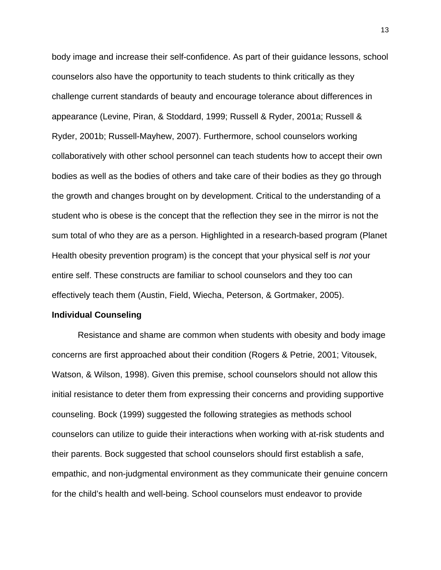body image and increase their self-confidence. As part of their guidance lessons, school counselors also have the opportunity to teach students to think critically as they challenge current standards of beauty and encourage tolerance about differences in appearance (Levine, Piran, & Stoddard, 1999; Russell & Ryder, 2001a; Russell & Ryder, 2001b; Russell-Mayhew, 2007). Furthermore, school counselors working collaboratively with other school personnel can teach students how to accept their own bodies as well as the bodies of others and take care of their bodies as they go through the growth and changes brought on by development. Critical to the understanding of a student who is obese is the concept that the reflection they see in the mirror is not the sum total of who they are as a person. Highlighted in a research-based program (Planet Health obesity prevention program) is the concept that your physical self is *not* your entire self. These constructs are familiar to school counselors and they too can effectively teach them (Austin, Field, Wiecha, Peterson, & Gortmaker, 2005).

### **Individual Counseling**

Resistance and shame are common when students with obesity and body image concerns are first approached about their condition (Rogers & Petrie, 2001; Vitousek, Watson, & Wilson, 1998). Given this premise, school counselors should not allow this initial resistance to deter them from expressing their concerns and providing supportive counseling. Bock (1999) suggested the following strategies as methods school counselors can utilize to guide their interactions when working with at-risk students and their parents. Bock suggested that school counselors should first establish a safe, empathic, and non-judgmental environment as they communicate their genuine concern for the child's health and well-being. School counselors must endeavor to provide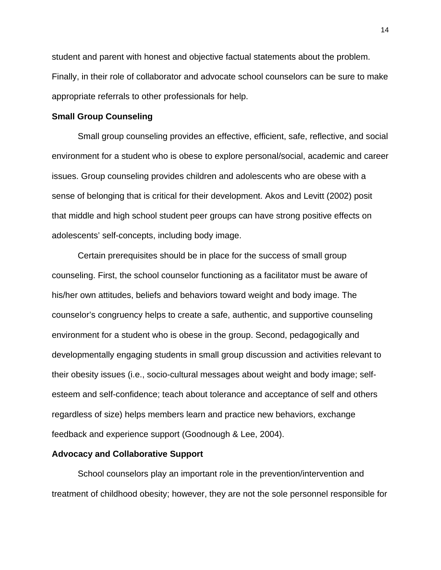student and parent with honest and objective factual statements about the problem. Finally, in their role of collaborator and advocate school counselors can be sure to make appropriate referrals to other professionals for help.

### **Small Group Counseling**

Small group counseling provides an effective, efficient, safe, reflective, and social environment for a student who is obese to explore personal/social, academic and career issues. Group counseling provides children and adolescents who are obese with a sense of belonging that is critical for their development. Akos and Levitt (2002) posit that middle and high school student peer groups can have strong positive effects on adolescents' self-concepts, including body image.

Certain prerequisites should be in place for the success of small group counseling. First, the school counselor functioning as a facilitator must be aware of his/her own attitudes, beliefs and behaviors toward weight and body image. The counselor's congruency helps to create a safe, authentic, and supportive counseling environment for a student who is obese in the group. Second, pedagogically and developmentally engaging students in small group discussion and activities relevant to their obesity issues (i.e., socio-cultural messages about weight and body image; selfesteem and self-confidence; teach about tolerance and acceptance of self and others regardless of size) helps members learn and practice new behaviors, exchange feedback and experience support (Goodnough & Lee, 2004).

### **Advocacy and Collaborative Support**

School counselors play an important role in the prevention/intervention and treatment of childhood obesity; however, they are not the sole personnel responsible for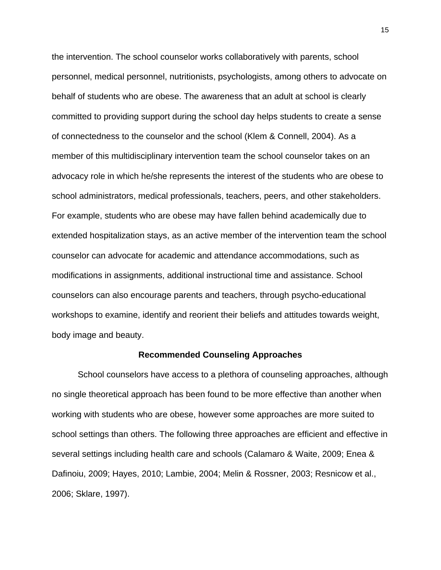the intervention. The school counselor works collaboratively with parents, school personnel, medical personnel, nutritionists, psychologists, among others to advocate on behalf of students who are obese. The awareness that an adult at school is clearly committed to providing support during the school day helps students to create a sense of connectedness to the counselor and the school (Klem & Connell, 2004). As a member of this multidisciplinary intervention team the school counselor takes on an advocacy role in which he/she represents the interest of the students who are obese to school administrators, medical professionals, teachers, peers, and other stakeholders. For example, students who are obese may have fallen behind academically due to extended hospitalization stays, as an active member of the intervention team the school counselor can advocate for academic and attendance accommodations, such as modifications in assignments, additional instructional time and assistance. School counselors can also encourage parents and teachers, through psycho-educational workshops to examine, identify and reorient their beliefs and attitudes towards weight, body image and beauty.

### **Recommended Counseling Approaches**

School counselors have access to a plethora of counseling approaches, although no single theoretical approach has been found to be more effective than another when working with students who are obese, however some approaches are more suited to school settings than others. The following three approaches are efficient and effective in several settings including health care and schools (Calamaro & Waite, 2009; Enea & Dafinoiu, 2009; Hayes, 2010; Lambie, 2004; Melin & Rossner, 2003; Resnicow et al., 2006; Sklare, 1997).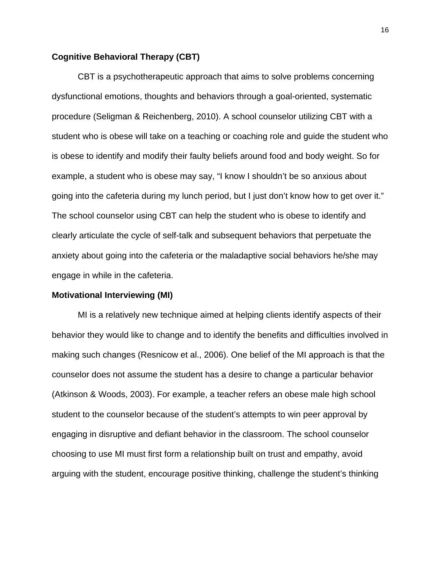# **Cognitive Behavioral Therapy (CBT)**

CBT is a psychotherapeutic approach that aims to solve problems concerning dysfunctional emotions, thoughts and behaviors through a goal-oriented, systematic procedure (Seligman & Reichenberg, 2010). A school counselor utilizing CBT with a student who is obese will take on a teaching or coaching role and guide the student who is obese to identify and modify their faulty beliefs around food and body weight. So for example, a student who is obese may say, "I know I shouldn't be so anxious about going into the cafeteria during my lunch period, but I just don't know how to get over it." The school counselor using CBT can help the student who is obese to identify and clearly articulate the cycle of self-talk and subsequent behaviors that perpetuate the anxiety about going into the cafeteria or the maladaptive social behaviors he/she may engage in while in the cafeteria.

### **Motivational Interviewing (MI)**

MI is a relatively new technique aimed at helping clients identify aspects of their behavior they would like to change and to identify the benefits and difficulties involved in making such changes (Resnicow et al., 2006). One belief of the MI approach is that the counselor does not assume the student has a desire to change a particular behavior (Atkinson & Woods, 2003). For example, a teacher refers an obese male high school student to the counselor because of the student's attempts to win peer approval by engaging in disruptive and defiant behavior in the classroom. The school counselor choosing to use MI must first form a relationship built on trust and empathy, avoid arguing with the student, encourage positive thinking, challenge the student's thinking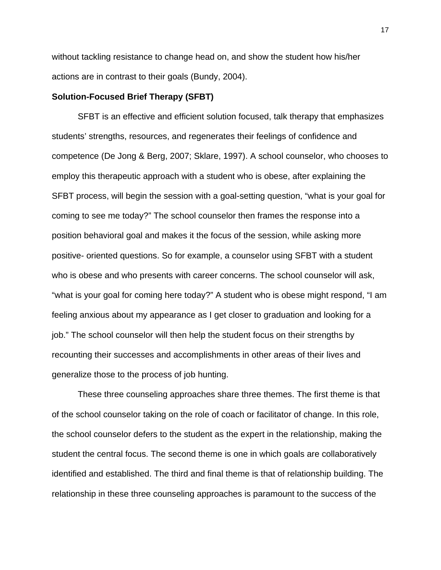without tackling resistance to change head on, and show the student how his/her actions are in contrast to their goals (Bundy, 2004).

### **Solution-Focused Brief Therapy (SFBT)**

SFBT is an effective and efficient solution focused, talk therapy that emphasizes students' strengths, resources, and regenerates their feelings of confidence and competence (De Jong & Berg, 2007; Sklare, 1997). A school counselor, who chooses to employ this therapeutic approach with a student who is obese, after explaining the SFBT process, will begin the session with a goal-setting question, "what is your goal for coming to see me today?" The school counselor then frames the response into a position behavioral goal and makes it the focus of the session, while asking more positive- oriented questions. So for example, a counselor using SFBT with a student who is obese and who presents with career concerns. The school counselor will ask, "what is your goal for coming here today?" A student who is obese might respond, "I am feeling anxious about my appearance as I get closer to graduation and looking for a job." The school counselor will then help the student focus on their strengths by recounting their successes and accomplishments in other areas of their lives and generalize those to the process of job hunting.

These three counseling approaches share three themes. The first theme is that of the school counselor taking on the role of coach or facilitator of change. In this role, the school counselor defers to the student as the expert in the relationship, making the student the central focus. The second theme is one in which goals are collaboratively identified and established. The third and final theme is that of relationship building. The relationship in these three counseling approaches is paramount to the success of the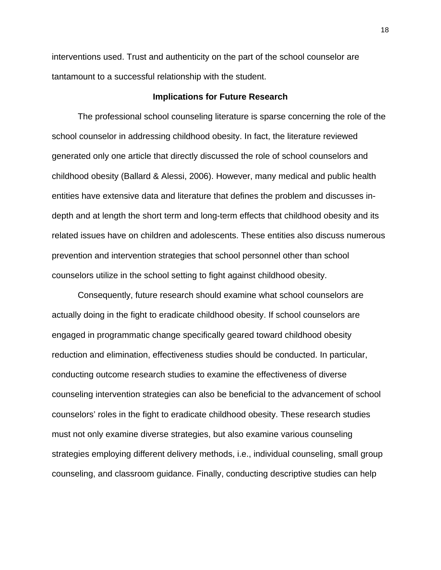interventions used. Trust and authenticity on the part of the school counselor are tantamount to a successful relationship with the student.

### **Implications for Future Research**

The professional school counseling literature is sparse concerning the role of the school counselor in addressing childhood obesity. In fact, the literature reviewed generated only one article that directly discussed the role of school counselors and childhood obesity (Ballard & Alessi, 2006). However, many medical and public health entities have extensive data and literature that defines the problem and discusses indepth and at length the short term and long-term effects that childhood obesity and its related issues have on children and adolescents. These entities also discuss numerous prevention and intervention strategies that school personnel other than school counselors utilize in the school setting to fight against childhood obesity.

Consequently, future research should examine what school counselors are actually doing in the fight to eradicate childhood obesity. If school counselors are engaged in programmatic change specifically geared toward childhood obesity reduction and elimination, effectiveness studies should be conducted. In particular, conducting outcome research studies to examine the effectiveness of diverse counseling intervention strategies can also be beneficial to the advancement of school counselors' roles in the fight to eradicate childhood obesity. These research studies must not only examine diverse strategies, but also examine various counseling strategies employing different delivery methods, i.e., individual counseling, small group counseling, and classroom guidance. Finally, conducting descriptive studies can help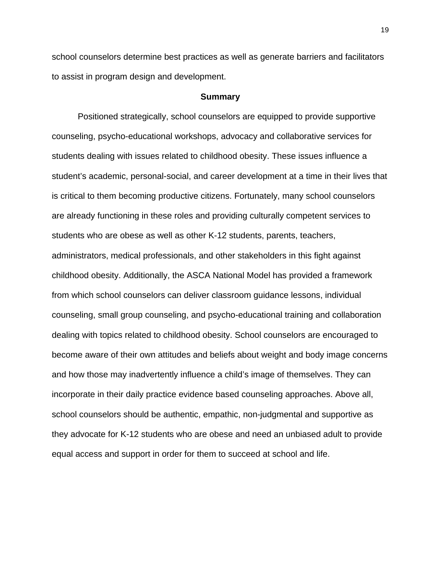school counselors determine best practices as well as generate barriers and facilitators to assist in program design and development.

### **Summary**

Positioned strategically, school counselors are equipped to provide supportive counseling, psycho-educational workshops, advocacy and collaborative services for students dealing with issues related to childhood obesity. These issues influence a student's academic, personal-social, and career development at a time in their lives that is critical to them becoming productive citizens. Fortunately, many school counselors are already functioning in these roles and providing culturally competent services to students who are obese as well as other K-12 students, parents, teachers, administrators, medical professionals, and other stakeholders in this fight against childhood obesity. Additionally, the ASCA National Model has provided a framework from which school counselors can deliver classroom guidance lessons, individual counseling, small group counseling, and psycho-educational training and collaboration dealing with topics related to childhood obesity. School counselors are encouraged to become aware of their own attitudes and beliefs about weight and body image concerns and how those may inadvertently influence a child's image of themselves. They can incorporate in their daily practice evidence based counseling approaches. Above all, school counselors should be authentic, empathic, non-judgmental and supportive as they advocate for K-12 students who are obese and need an unbiased adult to provide equal access and support in order for them to succeed at school and life.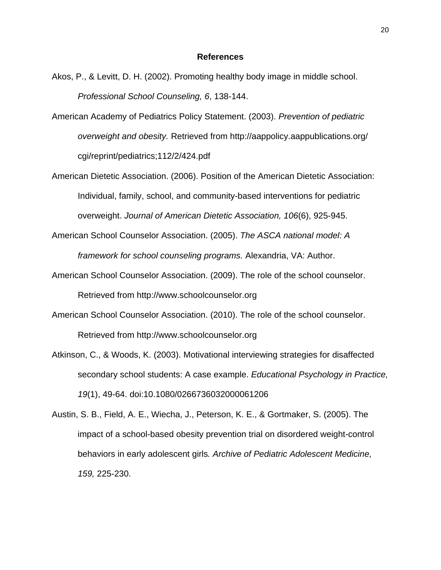### **References**

- Akos, P., & Levitt, D. H. (2002). Promoting healthy body image in middle school. *Professional School Counseling, 6*, 138-144.
- American Academy of Pediatrics Policy Statement. (2003). *Prevention of pediatric overweight and obesity.* Retrieved from http://aappolicy.aappublications.org/ cgi/reprint/pediatrics;112/2/424.pdf
- American Dietetic Association. (2006). Position of the American Dietetic Association: Individual, family, school, and community-based interventions for pediatric overweight. *Journal of American Dietetic Association, 106*(6), 925-945.
- American School Counselor Association. (2005). *The ASCA national model: A framework for school counseling programs.* Alexandria, VA: Author.
- American School Counselor Association. (2009). The role of the school counselor. Retrieved from http://www.schoolcounselor.org
- American School Counselor Association. (2010). The role of the school counselor. Retrieved from http://www.schoolcounselor.org
- Atkinson, C., & Woods, K. (2003). Motivational interviewing strategies for disaffected secondary school students: A case example. *Educational Psychology in Practice, 19*(1), 49-64. doi:10.1080/0266736032000061206
- Austin, S. B., Field, A. E., Wiecha, J., Peterson, K. E., & Gortmaker, S. (2005). The impact of a school-based obesity prevention trial on disordered weight-control behaviors in early adolescent girls*. Archive of Pediatric Adolescent Medicine, 159,* 225-230.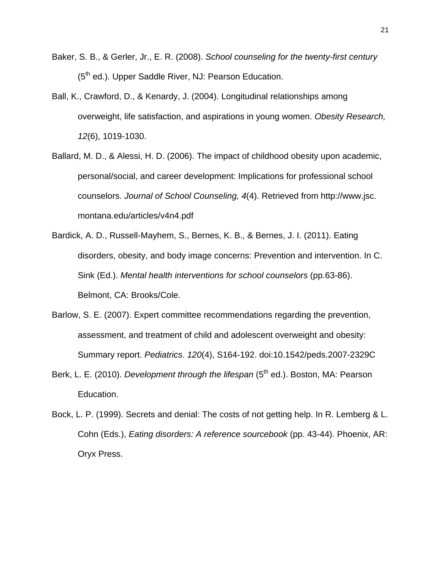- Baker, S. B., & Gerler, Jr., E. R. (2008). *School counseling for the twenty-first century* (5<sup>th</sup> ed.). Upper Saddle River, NJ: Pearson Education.
- Ball, K., Crawford, D., & Kenardy, J. (2004). Longitudinal relationships among overweight, life satisfaction, and aspirations in young women. *Obesity Research, 12*(6), 1019-1030.
- Ballard, M. D., & Alessi, H. D. (2006). The impact of childhood obesity upon academic, personal/social, and career development: Implications for professional school counselors. *Journal of School Counseling, 4*(4). Retrieved from http://www.jsc. montana.edu/articles/v4n4.pdf
- Bardick, A. D., Russell-Mayhem, S., Bernes, K. B., & Bernes, J. I. (2011). Eating disorders, obesity, and body image concerns: Prevention and intervention. In C. Sink (Ed.). *Mental health interventions for school counselors* (pp.63-86). Belmont, CA: Brooks/Cole.
- Barlow, S. E. (2007). Expert committee recommendations regarding the prevention, assessment, and treatment of child and adolescent overweight and obesity: Summary report. *Pediatrics*. *120*(4), S164-192. doi:10.1542/peds.2007-2329C
- Berk, L. E. (2010). *Development through the lifespan* (5<sup>th</sup> ed.). Boston, MA: Pearson Education.
- Bock, L. P. (1999). Secrets and denial: The costs of not getting help. In R. Lemberg & L. Cohn (Eds.), *Eating disorders: A reference sourcebook* (pp. 43-44). Phoenix, AR: Oryx Press.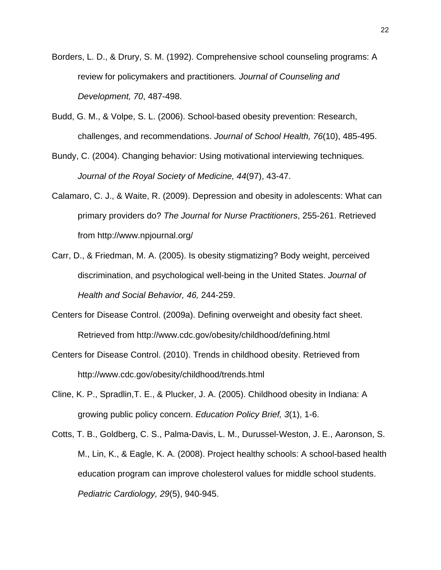- Borders, L. D., & Drury, S. M. (1992). Comprehensive school counseling programs: A review for policymakers and practitioners*. Journal of Counseling and Development, 70*, 487-498.
- Budd, G. M., & Volpe, S. L. (2006). School-based obesity prevention: Research, challenges, and recommendations. *Journal of School Health, 76*(10), 485-495.
- Bundy, C. (2004). Changing behavior: Using motivational interviewing techniques*. Journal of the Royal Society of Medicine, 44*(97), 43-47.
- Calamaro, C. J., & Waite, R. (2009). Depression and obesity in adolescents: What can primary providers do? *The Journal for Nurse Practitioners*, 255-261. Retrieved from http://www.npjournal.org/
- Carr, D., & Friedman, M. A. (2005). Is obesity stigmatizing? Body weight, perceived discrimination, and psychological well-being in the United States. *Journal of Health and Social Behavior, 46,* 244-259.
- Centers for Disease Control. (2009a). Defining overweight and obesity fact sheet. Retrieved from http://www.cdc.gov/obesity/childhood/defining.html
- Centers for Disease Control. (2010). Trends in childhood obesity. Retrieved from http://www.cdc.gov/obesity/childhood/trends.html
- Cline, K. P., Spradlin,T. E., & Plucker, J. A. (2005). Childhood obesity in Indiana: A growing public policy concern. *Education Policy Brief, 3*(1), 1-6.
- Cotts, T. B., Goldberg, C. S., Palma-Davis, L. M., Durussel-Weston, J. E., Aaronson, S. M., Lin, K., & Eagle, K. A. (2008). Project healthy schools: A school-based health education program can improve cholesterol values for middle school students. *Pediatric Cardiology, 29*(5), 940-945.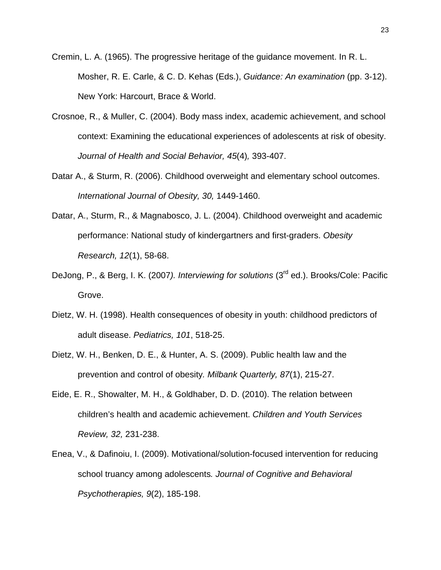- Cremin, L. A. (1965). The progressive heritage of the guidance movement. In R. L. Mosher, R. E. Carle, & C. D. Kehas (Eds.), *Guidance: An examination* (pp. 3-12). New York: Harcourt, Brace & World.
- Crosnoe, R., & Muller, C. (2004). Body mass index, academic achievement, and school context: Examining the educational experiences of adolescents at risk of obesity. *Journal of Health and Social Behavior, 45*(4)*,* 393-407.
- Datar A., & Sturm, R. (2006). Childhood overweight and elementary school outcomes. *International Journal of Obesity, 30,* 1449-1460.
- Datar, A., Sturm, R., & Magnabosco, J. L. (2004). Childhood overweight and academic performance: National study of kindergartners and first-graders. *Obesity Research, 12*(1), 58-68.
- DeJong, P., & Berg, I. K. (2007*). Interviewing for solutions* (3rd ed.). Brooks/Cole: Pacific Grove.
- Dietz, W. H. (1998). Health consequences of obesity in youth: childhood predictors of adult disease. *Pediatrics, 101*, 518-25.
- Dietz, W. H., Benken, D. E., & Hunter, A. S. (2009). Public health law and the prevention and control of obesity*. Milbank Quarterly, 87*(1), 215-27.
- Eide, E. R., Showalter, M. H., & Goldhaber, D. D. (2010). The relation between children's health and academic achievement. *Children and Youth Services Review, 32,* 231-238.
- Enea, V., & Dafinoiu, I. (2009). Motivational/solution-focused intervention for reducing school truancy among adolescents*. Journal of Cognitive and Behavioral Psychotherapies, 9*(2), 185-198.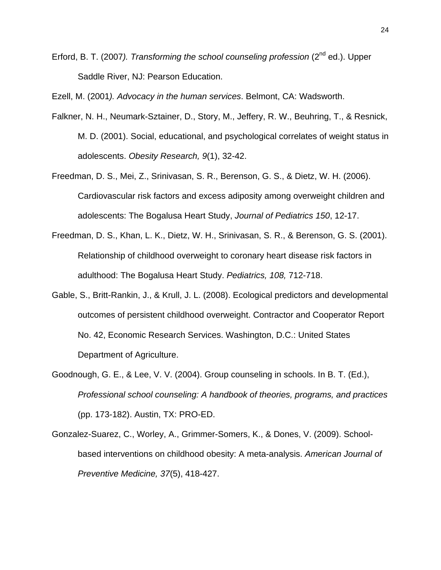Erford, B. T. (2007*). Transforming the school counseling profession* (2nd ed.). Upper Saddle River, NJ: Pearson Education.

Ezell, M. (2001*). Advocacy in the human services*. Belmont, CA: Wadsworth.

- Falkner, N. H., Neumark-Sztainer, D., Story, M., Jeffery, R. W., Beuhring, T., & Resnick, M. D. (2001). Social, educational, and psychological correlates of weight status in adolescents. *Obesity Research, 9*(1), 32-42.
- Freedman, D. S., Mei, Z., Srinivasan, S. R., Berenson, G. S., & Dietz, W. H. (2006). Cardiovascular risk factors and excess adiposity among overweight children and adolescents: The Bogalusa Heart Study, *Journal of Pediatrics 150*, 12-17.
- Freedman, D. S., Khan, L. K., Dietz, W. H., Srinivasan, S. R., & Berenson, G. S. (2001). Relationship of childhood overweight to coronary heart disease risk factors in adulthood: The Bogalusa Heart Study. *Pediatrics, 108,* 712-718.
- Gable, S., Britt-Rankin, J., & Krull, J. L. (2008). Ecological predictors and developmental outcomes of persistent childhood overweight. Contractor and Cooperator Report No. 42, Economic Research Services. Washington, D.C.: United States Department of Agriculture.
- Goodnough, G. E., & Lee, V. V. (2004). Group counseling in schools. In B. T. (Ed.), *Professional school counseling: A handbook of theories, programs, and practices*  (pp. 173-182). Austin, TX: PRO-ED.
- Gonzalez-Suarez, C., Worley, A., Grimmer-Somers, K., & Dones, V. (2009). Schoolbased interventions on childhood obesity: A meta-analysis. *American Journal of Preventive Medicine, 37*(5), 418-427.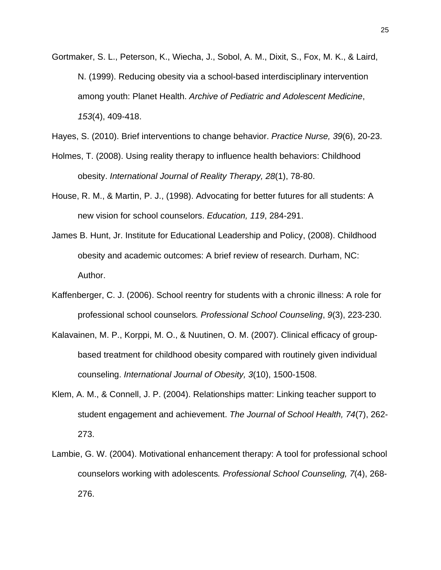Gortmaker, S. L., Peterson, K., Wiecha, J., Sobol, A. M., Dixit, S., Fox, M. K., & Laird, N. (1999). Reducing obesity via a school-based interdisciplinary intervention among youth: Planet Health. *Archive of Pediatric and Adolescent Medicine*, *153*(4), 409-418.

Hayes, S. (2010). Brief interventions to change behavior. *Practice Nurse, 39*(6), 20-23.

- Holmes, T. (2008). Using reality therapy to influence health behaviors: Childhood obesity. *International Journal of Reality Therapy, 28*(1), 78-80.
- House, R. M., & Martin, P. J., (1998). Advocating for better futures for all students: A new vision for school counselors. *Education, 119*, 284-291.
- James B. Hunt, Jr. Institute for Educational Leadership and Policy, (2008). Childhood obesity and academic outcomes: A brief review of research. Durham, NC: Author.
- Kaffenberger, C. J. (2006). School reentry for students with a chronic illness: A role for professional school counselors*. Professional School Counseling*, *9*(3), 223-230.
- Kalavainen, M. P., Korppi, M. O., & Nuutinen, O. M. (2007). Clinical efficacy of groupbased treatment for childhood obesity compared with routinely given individual counseling. *International Journal of Obesity, 3*(10), 1500-1508.
- Klem, A. M., & Connell, J. P. (2004). Relationships matter: Linking teacher support to student engagement and achievement. *The Journal of School Health, 74*(7), 262- 273.
- Lambie, G. W. (2004). Motivational enhancement therapy: A tool for professional school counselors working with adolescents*. Professional School Counseling, 7*(4), 268- 276.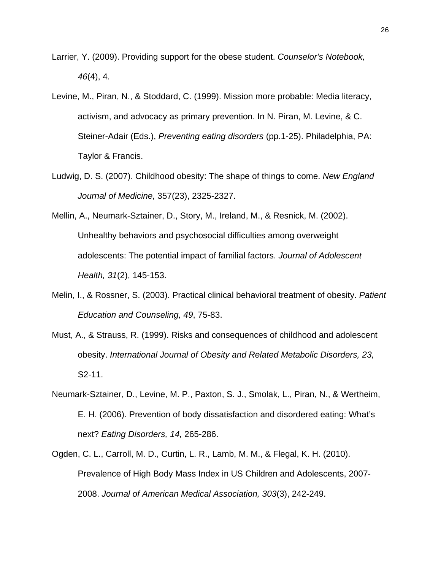- Larrier, Y. (2009). Providing support for the obese student. *Counselor's Notebook, 46*(4), 4.
- Levine, M., Piran, N., & Stoddard, C. (1999). Mission more probable: Media literacy, activism, and advocacy as primary prevention. In N. Piran, M. Levine, & C. Steiner-Adair (Eds.), *Preventing eating disorders* (pp.1-25). Philadelphia, PA: Taylor & Francis.
- Ludwig, D. S. (2007). Childhood obesity: The shape of things to come. *New England Journal of Medicine,* 357(23), 2325-2327.
- Mellin, A., Neumark-Sztainer, D., Story, M., Ireland, M., & Resnick, M. (2002). Unhealthy behaviors and psychosocial difficulties among overweight adolescents: The potential impact of familial factors. *Journal of Adolescent Health, 31*(2), 145-153.
- Melin, I., & Rossner, S. (2003). Practical clinical behavioral treatment of obesity. *Patient Education and Counseling, 49*, 75-83.
- Must, A., & Strauss, R. (1999). Risks and consequences of childhood and adolescent obesity. *International Journal of Obesity and Related Metabolic Disorders, 23,*  S2-11.
- Neumark-Sztainer, D., Levine, M. P., Paxton, S. J., Smolak, L., Piran, N., & Wertheim, E. H. (2006). Prevention of body dissatisfaction and disordered eating: What's next? *Eating Disorders, 14,* 265-286.
- Ogden, C. L., Carroll, M. D., Curtin, L. R., Lamb, M. M., & Flegal, K. H. (2010). Prevalence of High Body Mass Index in US Children and Adolescents, 2007- 2008. *Journal of American Medical Association, 303*(3), 242-249.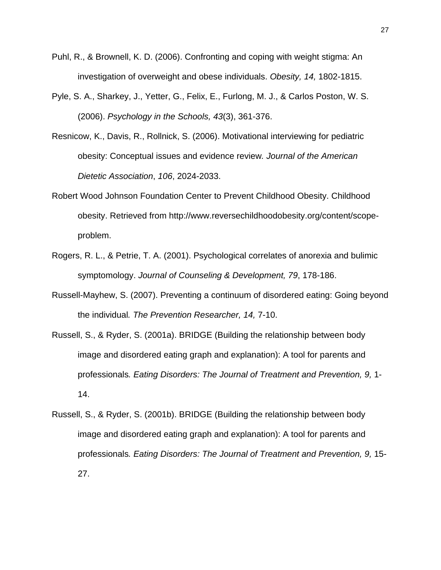- Puhl, R., & Brownell, K. D. (2006). Confronting and coping with weight stigma: An investigation of overweight and obese individuals. *Obesity, 14,* 1802-1815.
- Pyle, S. A., Sharkey, J., Yetter, G., Felix, E., Furlong, M. J., & Carlos Poston, W. S. (2006). *Psychology in the Schools, 43*(3), 361-376.
- Resnicow, K., Davis, R., Rollnick, S. (2006). Motivational interviewing for pediatric obesity: Conceptual issues and evidence review*. Journal of the American Dietetic Association*, *106*, 2024-2033.
- Robert Wood Johnson Foundation Center to Prevent Childhood Obesity. Childhood obesity. Retrieved from http://www.reversechildhoodobesity.org/content/scopeproblem.
- Rogers, R. L., & Petrie, T. A. (2001). Psychological correlates of anorexia and bulimic symptomology. *Journal of Counseling & Development, 79*, 178-186.
- Russell-Mayhew, S. (2007). Preventing a continuum of disordered eating: Going beyond the individual*. The Prevention Researcher, 14,* 7-10.
- Russell, S., & Ryder, S. (2001a). BRIDGE (Building the relationship between body image and disordered eating graph and explanation): A tool for parents and professionals*. Eating Disorders: The Journal of Treatment and Prevention, 9,* 1- 14.
- Russell, S., & Ryder, S. (2001b). BRIDGE (Building the relationship between body image and disordered eating graph and explanation): A tool for parents and professionals*. Eating Disorders: The Journal of Treatment and Prevention, 9,* 15- 27.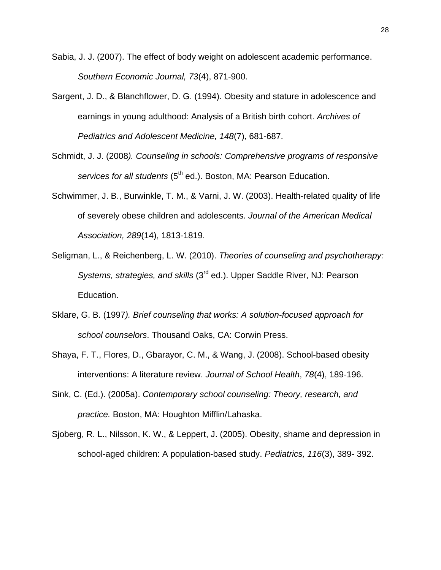- Sabia, J. J. (2007). The effect of body weight on adolescent academic performance. *Southern Economic Journal, 73*(4), 871-900.
- Sargent, J. D., & Blanchflower, D. G. (1994). Obesity and stature in adolescence and earnings in young adulthood: Analysis of a British birth cohort. *Archives of Pediatrics and Adolescent Medicine, 148*(7), 681-687.
- Schmidt, J. J. (2008*). Counseling in schools: Comprehensive programs of responsive services for all students* (5<sup>th</sup> ed.). Boston, MA: Pearson Education.
- Schwimmer, J. B., Burwinkle, T. M., & Varni, J. W. (2003). Health-related quality of life of severely obese children and adolescents. *Journal of the American Medical Association, 289*(14), 1813-1819.
- Seligman, L., & Reichenberg, L. W. (2010). *Theories of counseling and psychotherapy: Systems, strategies, and skills* (3rd ed.). Upper Saddle River, NJ: Pearson Education.
- Sklare, G. B. (1997*). Brief counseling that works: A solution-focused approach for school counselors*. Thousand Oaks, CA: Corwin Press.
- Shaya, F. T., Flores, D., Gbarayor, C. M., & Wang, J. (2008). School-based obesity interventions: A literature review. *Journal of School Health*, *78*(4), 189-196.
- Sink, C. (Ed.). (2005a). *Contemporary school counseling: Theory, research, and practice.* Boston, MA: Houghton Mifflin/Lahaska.
- Sjoberg, R. L., Nilsson, K. W., & Leppert, J. (2005). Obesity, shame and depression in school-aged children: A population-based study. *Pediatrics, 116*(3), 389- 392.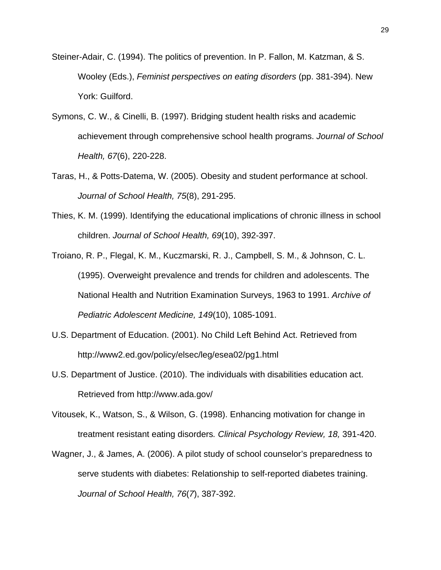- Steiner-Adair, C. (1994). The politics of prevention. In P. Fallon, M. Katzman, & S. Wooley (Eds.), *Feminist perspectives on eating disorders* (pp. 381-394). New York: Guilford.
- Symons, C. W., & Cinelli, B. (1997). Bridging student health risks and academic achievement through comprehensive school health programs. *Journal of School Health, 67*(6), 220-228.
- Taras, H., & Potts-Datema, W. (2005). Obesity and student performance at school. *Journal of School Health, 75*(8), 291-295.
- Thies, K. M. (1999). Identifying the educational implications of chronic illness in school children. *Journal of School Health, 69*(10), 392-397.
- Troiano, R. P., Flegal, K. M., Kuczmarski, R. J., Campbell, S. M., & Johnson, C. L. (1995). Overweight prevalence and trends for children and adolescents. The National Health and Nutrition Examination Surveys, 1963 to 1991. *Archive of Pediatric Adolescent Medicine, 149*(10), 1085-1091.
- U.S. Department of Education. (2001). No Child Left Behind Act. Retrieved from http://www2.ed.gov/policy/elsec/leg/esea02/pg1.html
- U.S. Department of Justice. (2010). The individuals with disabilities education act. Retrieved from http://www.ada.gov/
- Vitousek, K., Watson, S., & Wilson, G. (1998). Enhancing motivation for change in treatment resistant eating disorders*. Clinical Psychology Review, 18,* 391-420.
- Wagner, J., & James, A. (2006). A pilot study of school counselor's preparedness to serve students with diabetes: Relationship to self-reported diabetes training. *Journal of School Health, 76*(*7*), 387-392.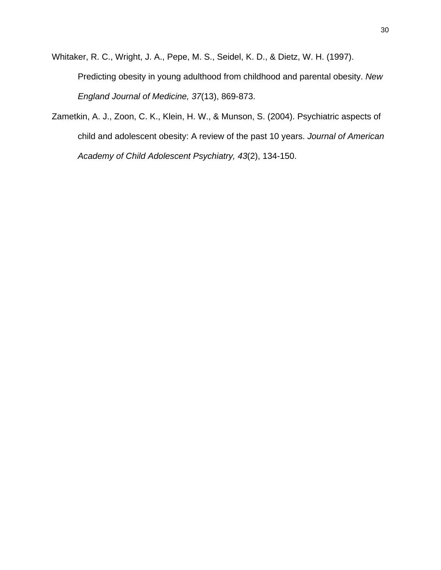Whitaker, R. C., Wright, J. A., Pepe, M. S., Seidel, K. D., & Dietz, W. H. (1997). Predicting obesity in young adulthood from childhood and parental obesity. *New England Journal of Medicine, 37*(13), 869-873.

Zametkin, A. J., Zoon, C. K., Klein, H. W., & Munson, S. (2004). Psychiatric aspects of child and adolescent obesity: A review of the past 10 years. *Journal of American Academy of Child Adolescent Psychiatry, 43*(2), 134-150.